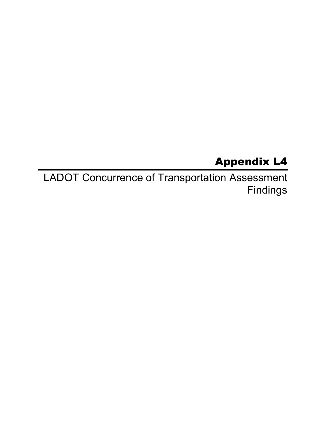## Appendix L4

LADOT Concurrence of Transportation Assessment Findings